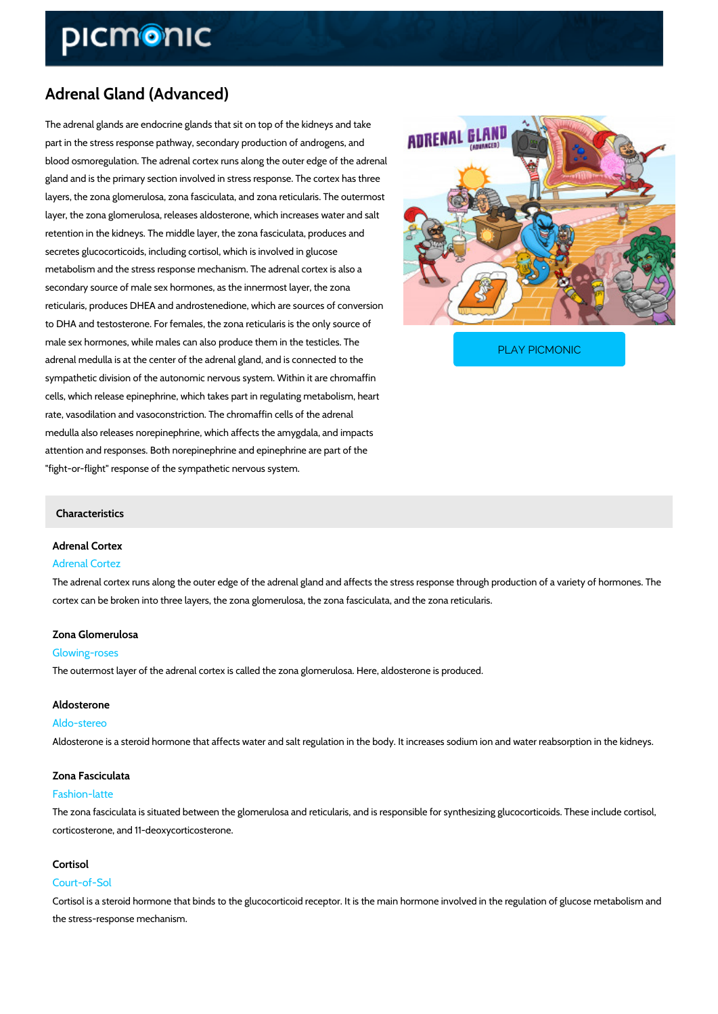# Adrenal Gland (Advanced)

The adrenal glands are endocrine glands that sit on top of the kidneys and take part in the stress response pathway, secondary production of androgens, and blood osmoregulation. The adrenal cortex runs along the outer edge of the adrenal gland and is the primary section involved in stress response. The cortex has three layers, the zona glomerulosa, zona fasciculata, and zona reticularis. The outermost layer, the zona glomerulosa, releases aldosterone, which increases water and salt retention in the kidneys. The middle layer, the zona fasciculata, produces and secretes glucocorticoids, including cortisol, which is involved in glucose metabolism and the stress response mechanism. The adrenal cortex is also a secondary source of male sex hormones, as the innermost layer, the zona reticularis, produces DHEA and androstenedione, which are sources of conversion to DHA and testosterone. For females, the zona reticularis is the only source of male sex hormones, while males can also produce them in

adrenal medulla is at the center of the adrenal gland, and

[PLAY PICMONIC](https://www.picmonic.com/learn/adrenal-glands_774?utm_source=downloadable_content&utm_medium=distributedcontent&utm_campaign=pathways_pdf&utm_content=Adrenal Gland (Advanced)&utm_ad_group=leads&utm_market=all)

sympathetic division of the autonomic nervous system. Within it are chromaffin cells, which release epinephrine, which takes part in regulating metabolism, heart rate, vasodilation and vasoconstriction. The chromaffin cells of the adrenal medulla also releases norepinephrine, which affects the amygdala, and impacts attention and responses. Both norepinephrine and epinephrine are part of the "fight-or-flight" response of the sympathetic nervous system.

### Characteristics

## Adrenal Cortex Adrenal Cortez

The adrenal cortex runs along the outer edge of the adrenal gland and affects the stress resp cortex can be broken into three layers, the zona glomerulosa, the zona fasciculata, and the zo

## Zona Glomerulosa

## Glowing-roses

The outermost layer of the adrenal cortex is called the zona glomerulosa. Here, aldosterone i

### Aldosterone

Aldo-stereo Aldosterone is a steroid hormone that affects water and salt regulation in the body. It increas

### Zona Fasciculata

### Fashion-latte

The zona fasciculata is situated between the glomerulosa and reticularis, and is responsible f corticosterone, and 11-deoxycorticosterone.

#### Cortisol

### Court-of-Sol

Cortisol is a steroid hormone that binds to the glucocorticoid receptor. It is the main hormone the stress-response mechanism.